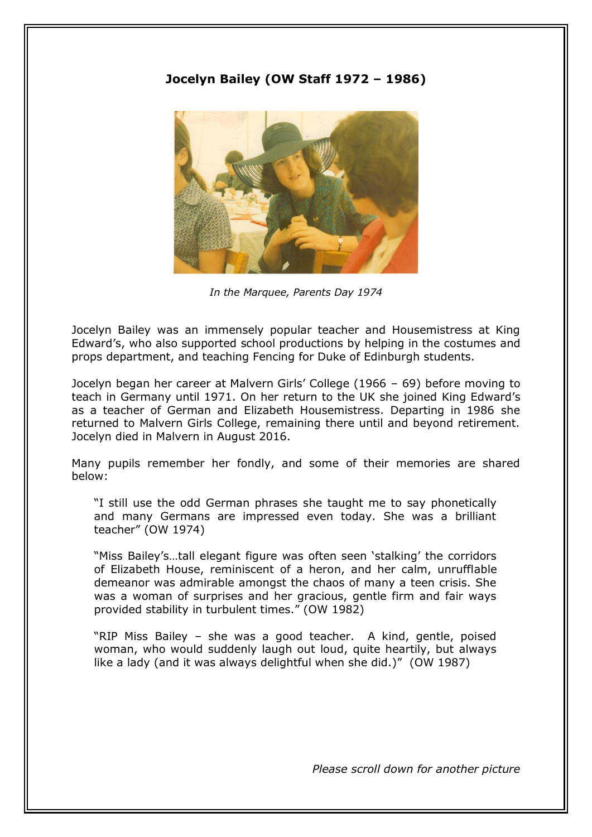## **Jocelyn Bailey (OW Staff 1972 – 1986)**



*In the Marquee, Parents Day 1974*

Jocelyn Bailey was an immensely popular teacher and Housemistress at King Edward's, who also supported school productions by helping in the costumes and props department, and teaching Fencing for Duke of Edinburgh students.

Jocelyn began her career at Malvern Girls' College (1966 – 69) before moving to teach in Germany until 1971. On her return to the UK she joined King Edward's as a teacher of German and Elizabeth Housemistress. Departing in 1986 she returned to Malvern Girls College, remaining there until and beyond retirement. Jocelyn died in Malvern in August 2016.

Many pupils remember her fondly, and some of their memories are shared below:

"I still use the odd German phrases she taught me to say phonetically and many Germans are impressed even today. She was a brilliant teacher" (OW 1974)

"Miss Bailey's…tall elegant figure was often seen 'stalking' the corridors of Elizabeth House, reminiscent of a heron, and her calm, unrufflable demeanor was admirable amongst the chaos of many a teen crisis. She was a woman of surprises and her gracious, gentle firm and fair ways provided stability in turbulent times." (OW 1982)

"RIP Miss Bailey – she was a good teacher. A kind, gentle, poised woman, who would suddenly laugh out loud, quite heartily, but always like a lady (and it was always delightful when she did.)" (OW 1987)

*Please scroll down for another picture*